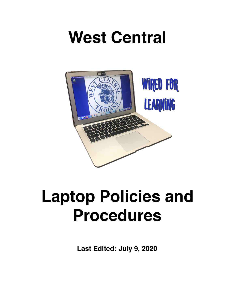# **West Central**



# **Laptop Policies and Procedures**

**Last Edited: July 9, 2020**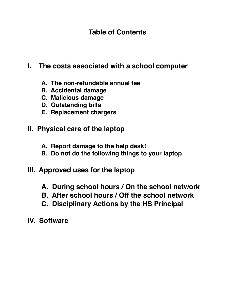# **Table of Contents**

- **I. The costs associated with a school computer**
	- **A. The non-refundable annual fee**
	- **B. Accidental damage**
	- **C. Malicious damage**
	- **D. Outstanding bills**
	- **E. Replacement chargers**
- **II. Physical care of the laptop**
	- **A. Report damage to the help desk!**
	- **B. Do not do the following things to your laptop**
- **III. Approved uses for the laptop**
	- **A. During school hours / On the school network**
	- **B. After school hours / Off the school network**
	- **C. Disciplinary Actions by the HS Principal**
- **IV. Software**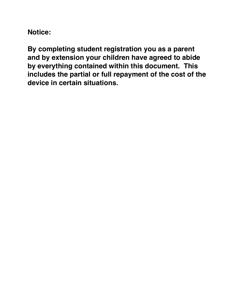**Notice:**

**By completing student registration you as a parent and by extension your children have agreed to abide by everything contained within this document. This includes the partial or full repayment of the cost of the device in certain situations.**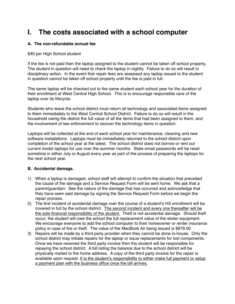# **I. The costs associated with a school computer**

### **A. The non-refundable annual fee**

### \$40 per High School student

If the fee is not paid then the laptop assigned to the student cannot be taken off school property. The student in question will need to check the laptop in nightly. Failure to do so will result in disciplinary action. In the event that repair fees are assessed any laptop issued to the student in question cannot be taken off school property until the fee is paid in full.

The same laptop will be checked out to the same student each school year for the duration of their enrollment at West Central High School. This is to encourage responsible care of the laptop over its lifecycle.

Students who leave the school district must return all technology and associated items assigned to them immediately to the West Central School District. Failure to do so will result in the household owing the district the full value of all the items that had been assigned to them, and the involvement of law enforcement to recover the technology items in question.

Laptops will be collected at the end of each school year for maintenance, cleaning and new software installations. Laptops must be immediately returned to the school district upon completion of the school year at the latest. The school district does not borrow or rent out current model laptops for use over the summer months. State email passwords will be reset sometime in either July or August every year as part of the process of preparing the laptops for the next school year.

### **B. Accidental damage.**

- 1) When a laptop is damaged, school staff will attempt to confirm the situation that preceded the cause of the damage and a Service Request Form will be sent home. We ask that a parent/guardian: See the nature of the damage that has occurred and acknowledge that they have seen said damage by signing the Service Request Form before we begin the repair process.
- 2) The first incident of accidental damage over the course of a student's HS enrollment will be covered in full by the school district. The second incident and every one thereafter will be the sole financial responsibility of the student. Theft is not accidental damage. Should theft occur, the student will owe the school the full replacement value of the stolen equipment. We encourage everyone to add the school computer to their homeowner or renter insurance policy in case of fire or theft. The value of the MacBook Air being issued is \$979.00
- 3) Repairs will be made by a third party provider when they cannot be done in-house. Only the school district may initiate repairs for the laptop or issue replacements for lost components. Once we have received the third party invoice then the student will be responsible for repaying the school district. A bill listing the balance due to the school district will be physically mailed to the home address. A copy of the third party invoice for the repair is available upon request. It is the student's responsibility to either make full payment or setup a payment plan with the business office once the bill arrives.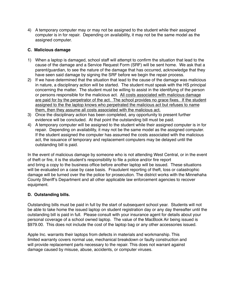4) A temporary computer may or may not be assigned to the student while their assigned computer is in for repair. Depending on availability, it may not be the same model as the assigned computer.

### **C. Malicious damage**

- 1) When a laptop is damaged, school staff will attempt to confirm the situation that lead to the cause of the damage and a Service Request Form (SRF) will be sent home. We ask that a parent/guardian, to see the nature of the damage that has occurred, acknowledge that they have seen said damage by signing the SRF before we begin the repair process.
- 2) If we have determined that the situation that lead to the cause of the damage was malicious in nature, a disciplinary action will be started. The student must speak with the HS principal concerning the matter. The student must be willing to assist in the identifying of the person or persons responsible for the malicious act. All costs associated with malicious damage are paid for by the perpetrator of the act. The school provides no grace fixes. If the student assigned to the the laptop knows who perpetrated the malicious act but refuses to name them, then they assume all costs associated with the malicious act.
- 3) Once the disciplinary action has been completed, any opportunity to present further evidence will be concluded. At that point the outstanding bill must be paid.
- 4) A temporary computer will be assigned to the student while their assigned computer is in for repair. Depending on availability, it may not be the same model as the assigned computer. If the student assigned the computer has assumed the costs associated with the malicious act, the issuance of temporary and replacement computers may be delayed until the outstanding bill is paid.

In the event of malicious damage by someone who is not attending West Central, or in the event of theft or fire, it is the student's responsibility to file a police and/or fire report and bring a copy to the business office before another laptop will be issued. These situations will be evaluated on a case by case basis. Fraudulent reporting of theft, loss or catastrophic damage will be turned over the the police for prosecution. The district works with the Minnehaha County Sheriff's Department and all other applicable law enforcement agencies to recover equipment.

### **D. Outstanding bills.**

Outstanding bills must be paid in full by the start of subsequent school year. Students will not be able to take home the issued laptop on student registration day or any day thereafter until the outstanding bill is paid in full. Please consult with your insurance agent for details about your personal coverage of a school owned laptop. The value of the MacBook Air being issued is \$979.00. This does not include the cost of the laptop bag or any other accessories issued.

Apple Inc. warrants their laptops from defects in materials and workmanship. This limited warranty covers normal use, mechanical breakdown or faulty construction and will provide replacement parts necessary to the repair. This does not warrant against damage caused by misuse, abuse, accidents, or computer viruses.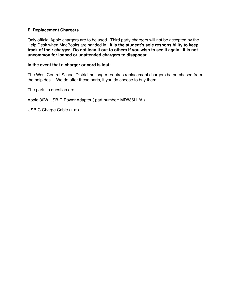### **E. Replacement Chargers**

Only official Apple chargers are to be used. Third party chargers will not be accepted by the Help Desk when MacBooks are handed in. **It is the student's sole responsibility to keep track of their charger. Do not loan it out to others if you wish to see it again. It is not uncommon for loaned or unattended chargers to disappear.** 

#### **In the event that a charger or cord is lost:**

The West Central School District no longer requires replacement chargers be purchased from the help desk. We do offer these parts, if you do choose to buy them.

The parts in question are:

Apple 30W USB-C Power Adapter ( part number: MD836LL/A )

USB-C Charge Cable (1 m)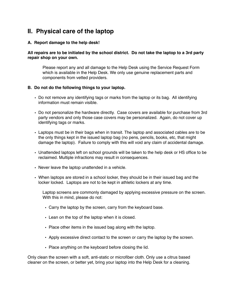### **II. Physical care of the laptop**

### **A. Report damage to the help desk!**

### **All repairs are to be initiated by the school district. Do not take the laptop to a 3rd party repair shop on your own.**

Please report any and all damage to the Help Desk using the Service Request Form which is available in the Help Desk. We only use genuine replacement parts and components from vetted providers.

#### **B. Do not do the following things to your laptop.**

- Do not remove any identifying tags or marks from the laptop or its bag. All identifying information must remain visible.
- Do not personalize the hardware directly. Case covers are available for purchase from 3rd party vendors and only those case covers may be personalized. Again, do not cover up identifying tags or marks.
- Laptops must be in their bags when in transit. The laptop and associated cables are to be the only things kept in the issued laptop bag (no pens, pencils, books, etc, that might damage the laptop). Failure to comply with this will void any claim of accidental damage.
- Unattended laptops left on school grounds will be taken to the help desk or HS office to be reclaimed. Multiple infractions may result in consequences.
- Never leave the laptop unattended in a vehicle.
- When laptops are stored in a school locker, they should be in their issued bag and the locker locked. Laptops are not to be kept in athletic lockers at any time.

Laptop screens are commonly damaged by applying excessive pressure on the screen. With this in mind, please do not:

- Carry the laptop by the screen, carry from the keyboard base.
- Lean on the top of the laptop when it is closed.
- Place other items in the issued bag along with the laptop.
- Apply excessive direct contact to the screen or carry the laptop by the screen.
- Place anything on the keyboard before closing the lid.

Only clean the screen with a soft, anti-static or microfiber cloth. Only use a citrus based cleaner on the screen, or better yet, bring your laptop into the Help Desk for a cleaning.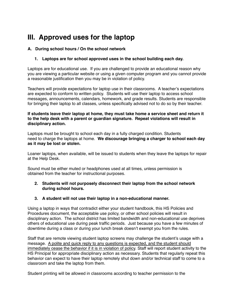# **III. Approved uses for the laptop**

### **A. During school hours / On the school network**

### **1. Laptops are for school approved uses in the school building each day.**

Laptops are for educational use. If you are challenged to provide an educational reason why you are viewing a particular website or using a given computer program and you cannot provide a reasonable justification then you may be in violation of policy.

Teachers will provide expectations for laptop use in their classrooms. A teacher's expectations are expected to conform to written policy. Students will use their laptop to access school messages, announcements, calendars, homework, and grade results. Students are responsible for bringing their laptop to all classes, unless specifically advised not to do so by their teacher.

### **If students leave their laptop at home, they must take home a service sheet and return it to the help desk with a parent or guardian signature. Repeat violations will result in disciplinary action.**

Laptops must be brought to school each day in a fully charged condition. Students need to charge the laptops at home. **We discourage bringing a charger to school each day as it may be lost or stolen.**

Loaner laptops, when available, will be issued to students when they leave the laptops for repair at the Help Desk.

Sound must be either muted or headphones used at all times, unless permission is obtained from the teacher for instructional purposes.

### **2. Students will not purposely disconnect their laptop from the school network during school hours.**

### **3. A student will not use their laptop in a non-educational manner.**

Using a laptop in ways that contradict either your student handbook, this HS Policies and Procedures document, the acceptable use policy, or other school policies will result in disciplinary action. The school district has limited bandwidth and non-educational use deprives others of educational use during peak traffic periods. Just because you have a few minutes of downtime during a class or during your lunch break doesn't exempt you from the rules.

Staff that are remote viewing student laptop screens may challenge the student's usage with a message. A polite and quick reply to any questions is expected, and the student should immediately cease the behavior if it is in violation of policy. Staff will report student activity to the HS Principal for appropriate disciplinary action as necessary. Students that regularly repeat this behavior can expect to have their laptop remotely shut down and/or technical staff to come to a classroom and take the laptop from them.

Student printing will be allowed in classrooms according to teacher permission to the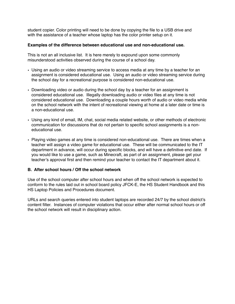student copier. Color printing will need to be done by copying the file to a USB drive and with the assistance of a teacher whose laptop has the color printer setup on it.

### **Examples of the difference between educational use and non-educational use.**

This is not an all inclusive list. It is here merely to expound upon some commonly misunderstood activities observed during the course of a school day.

- Using an audio or video streaming service to access media at any time by a teacher for an assignment is considered educational use. Using an audio or video streaming service during the school day for a recreational purpose is considered non-educational use.
- Downloading video or audio during the school day by a teacher for an assignment is considered educational use. Illegally downloading audio or video files at any time is not considered educational use. Downloading a couple hours worth of audio or video media while on the school network with the intent of recreational viewing at home at a later date or time is a non-educational use.
- Using any kind of email, IM, chat, social media related website, or other methods of electronic communication for discussions that do not pertain to specific school assignments is a noneducational use.
- Playing video games at any time is considered non-educational use. There are times when a teacher will assign a video game for educational use. These will be communicated to the IT department in advance, will occur during specific blocks, and will have a definitive end date. If you would like to use a game, such as Minecraft, as part of an assignment, please get your teacher's approval first and then remind your teacher to contact the IT department about it.

### **B. After school hours / Off the school network**

Use of the school computer after school hours and when off the school network is expected to conform to the rules laid out in school board policy JFCK-E, the HS Student Handbook and this HS Laptop Policies and Procedures document.

URLs and search queries entered into student laptops are recorded 24/7 by the school district's content filter. Instances of computer violations that occur either after normal school hours or off the school network will result in disciplinary action.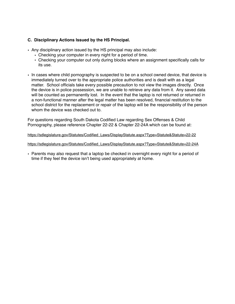### **C. Disciplinary Actions Issued by the HS Principal.**

- Any disciplinary action issued by the HS principal may also include:
	- Checking your computer in every night for a period of time.
	- Checking your computer out only during blocks where an assignment specifically calls for its use.
- In cases where child pornography is suspected to be on a school owned device, that device is immediately turned over to the appropriate police authorities and is dealt with as a legal matter. School officials take every possible precaution to not view the images directly. Once the device is in police possession, we are unable to retrieve any data from it. Any saved data will be counted as permanently lost. In the event that the laptop is not returned or returned in a non-functional manner after the legal matter has been resolved, financial restitution to the school district for the replacement or repair of the laptop will be the responsibility of the person whom the device was checked out to.

For questions regarding South Dakota Codified Law regarding Sex Offenses & Child Pornography, please reference Chapter 22-22 & Chapter 22-24A which can be found at:

[https://sdlegislature.gov/Statutes/Codified\\_Laws/DisplayStatute.aspx?Type=Statute&Statute=22-22](https://sdlegislature.gov/Statutes/Codified_Laws/DisplayStatute.aspx?Type=Statute&Statute=22-22)

[https://sdlegislature.gov/Statutes/Codified\\_Laws/DisplayStatute.aspx?Type=Statute&Statute=22-24A](https://sdlegislature.gov/Statutes/Codified_Laws/DisplayStatute.aspx?Type=Statute&Statute=22-24A)

• Parents may also request that a laptop be checked in overnight every night for a period of time if they feel the device isn't being used appropriately at home.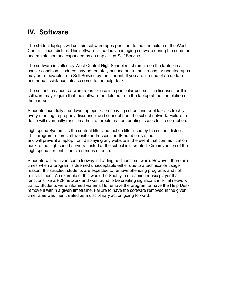## **IV. Software**

The student laptops will contain software apps pertinent to the curriculum of the West Central school district. This software is loaded via imaging software during the summer and maintained and expanded by an app called Self Service.

The software installed by West Central High School must remain on the laptop in a usable condition. Updates may be remotely pushed out to the laptops, or updated apps may be retrievable from Self Service by the student. If you are in need of an update and need assistance, please come to the help desk.

The school may add software apps for use in a particular course. The licenses for this software may require that the software be deleted from the laptop at the completion of the course.

Students must fully shutdown laptops before leaving school and boot laptops freshly every morning to properly disconnect and connect from the school network. Failure to do so will eventually result in a host of problems from printing issues to file corruption.

Lightspeed Systems is the content filter and mobile filter used by the school district. This program records all website addresses and IP numbers visited and will prevent a laptop from displaying any website in the event that communication back to the Lightspeed servers hosted at the school is disrupted. Circumvention of the Lightspeed content filter is a serious offense.

Students will be given some leeway in loading additional software. However, there are times when a program is deemed unacceptable either due to a technical or usage reason. If instructed, students are expected to remove offending programs and not reinstall them. An example of this would be Spotify, a streaming music player that functions like a P2P network and was found to be creating significant internal network traffic. Students were informed via email to remove the program or have the Help Desk remove it within a given timeframe. Failure to have the software removed in the given timeframe was then treated as a disciplinary action going forward.